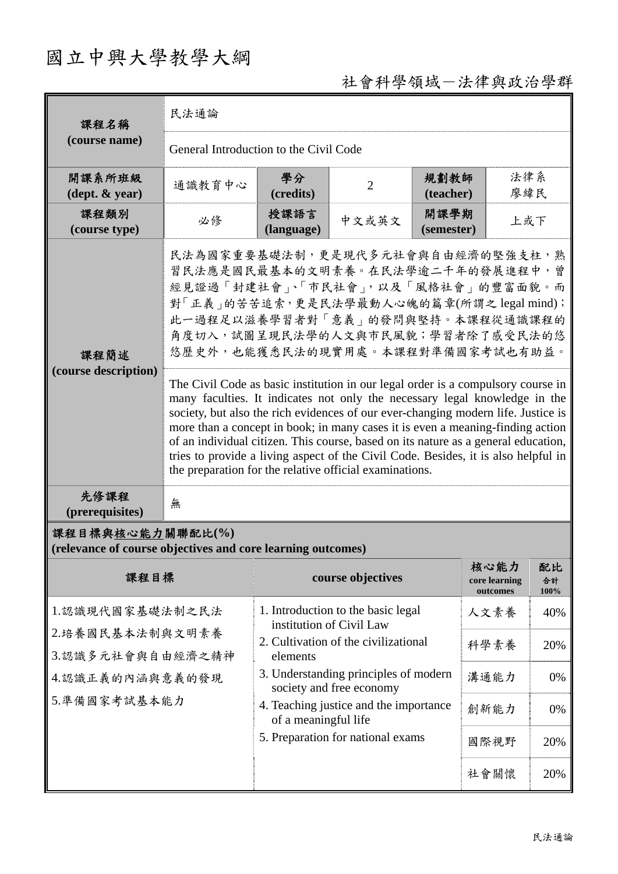## 國立中興大學教學大綱

## 社會科學領域-法律與政治學群

| 課程名稱<br>(course name)                                                           | 民法通論                                                                                                                                                                                                                                                                                                                                                                                                                                                                                                                                                                                                                                                                                                                                                                                                                                                 |                                                                                                                       |                                                                |                    |                                   |                  |
|---------------------------------------------------------------------------------|------------------------------------------------------------------------------------------------------------------------------------------------------------------------------------------------------------------------------------------------------------------------------------------------------------------------------------------------------------------------------------------------------------------------------------------------------------------------------------------------------------------------------------------------------------------------------------------------------------------------------------------------------------------------------------------------------------------------------------------------------------------------------------------------------------------------------------------------------|-----------------------------------------------------------------------------------------------------------------------|----------------------------------------------------------------|--------------------|-----------------------------------|------------------|
|                                                                                 | General Introduction to the Civil Code                                                                                                                                                                                                                                                                                                                                                                                                                                                                                                                                                                                                                                                                                                                                                                                                               |                                                                                                                       |                                                                |                    |                                   |                  |
| 開課系所班級<br>$(\text{dept.} \& \text{ year})$                                      | 通識教育中心                                                                                                                                                                                                                                                                                                                                                                                                                                                                                                                                                                                                                                                                                                                                                                                                                                               | 學分<br>(credits)                                                                                                       | $\overline{2}$                                                 | 規劃教師<br>(teacher)  | 法律系<br>廖緯民                        |                  |
| 課程類別<br>(course type)                                                           | 必修                                                                                                                                                                                                                                                                                                                                                                                                                                                                                                                                                                                                                                                                                                                                                                                                                                                   | 授課語言<br>(language)                                                                                                    | 中文或英文                                                          | 開課學期<br>(semester) | 上或下                               |                  |
| 課程簡述<br>(course description)                                                    | 民法為國家重要基礎法制,更是現代多元社會與自由經濟的堅強支柱,熟<br>習民法應是國民最基本的文明素養。在民法學逾二千年的發展進程中,曾<br>經見證過「封建社會」、「市民社會」,以及「風格社會」的豐富面貌。而<br>對「正義」的苦苦追索,更是民法學最動人心魄的篇章(所謂之 legal mind);<br>此一過程足以滋養學習者對「意義」的發問與堅持。本課程從通識課程的<br>角度切入, 試圖呈現民法學的人文與市民風貌; 學習者除了感受民法的悠<br>悠歷史外,也能獲悉民法的現實用處。本課程對準備國家考試也有助益。<br>The Civil Code as basic institution in our legal order is a compulsory course in<br>many faculties. It indicates not only the necessary legal knowledge in the<br>society, but also the rich evidences of our ever-changing modern life. Justice is<br>more than a concept in book; in many cases it is even a meaning-finding action<br>of an individual citizen. This course, based on its nature as a general education,<br>tries to provide a living aspect of the Civil Code. Besides, it is also helpful in<br>the preparation for the relative official examinations. |                                                                                                                       |                                                                |                    |                                   |                  |
| 先修課程<br>(prerequisites)                                                         | 無                                                                                                                                                                                                                                                                                                                                                                                                                                                                                                                                                                                                                                                                                                                                                                                                                                                    |                                                                                                                       |                                                                |                    |                                   |                  |
| 課程目標與核心能力關聯配比(%)<br>(relevance of course objectives and core learning outcomes) |                                                                                                                                                                                                                                                                                                                                                                                                                                                                                                                                                                                                                                                                                                                                                                                                                                                      |                                                                                                                       |                                                                |                    |                                   |                  |
| 課程目標                                                                            |                                                                                                                                                                                                                                                                                                                                                                                                                                                                                                                                                                                                                                                                                                                                                                                                                                                      |                                                                                                                       | course objectives                                              |                    | 核心能力<br>core learning<br>outcomes | 配比<br>合計<br>100% |
|                                                                                 | 1.認識現代國家基礎法制之民法                                                                                                                                                                                                                                                                                                                                                                                                                                                                                                                                                                                                                                                                                                                                                                                                                                      |                                                                                                                       | 1. Introduction to the basic legal<br>institution of Civil Law |                    | 人文素養                              | 40%              |
| 2.培養國民基本法制與文明素養<br>3.認識多元社會與自由經濟之精神<br>4.認識正義的內涵與意義的發現<br>5.準備國家考試基本能力          |                                                                                                                                                                                                                                                                                                                                                                                                                                                                                                                                                                                                                                                                                                                                                                                                                                                      | 2. Cultivation of the civilizational<br>elements<br>3. Understanding principles of modern<br>society and free economy |                                                                |                    | 科學素養                              | 20%              |
|                                                                                 |                                                                                                                                                                                                                                                                                                                                                                                                                                                                                                                                                                                                                                                                                                                                                                                                                                                      |                                                                                                                       |                                                                |                    | 溝通能力                              | 0%               |
|                                                                                 |                                                                                                                                                                                                                                                                                                                                                                                                                                                                                                                                                                                                                                                                                                                                                                                                                                                      | 4. Teaching justice and the importance<br>of a meaningful life<br>5. Preparation for national exams                   |                                                                |                    | 創新能力                              | 0%               |
|                                                                                 |                                                                                                                                                                                                                                                                                                                                                                                                                                                                                                                                                                                                                                                                                                                                                                                                                                                      |                                                                                                                       |                                                                |                    | 國際視野                              | 20%              |
|                                                                                 |                                                                                                                                                                                                                                                                                                                                                                                                                                                                                                                                                                                                                                                                                                                                                                                                                                                      |                                                                                                                       |                                                                |                    | 社會關懷                              | 20%              |